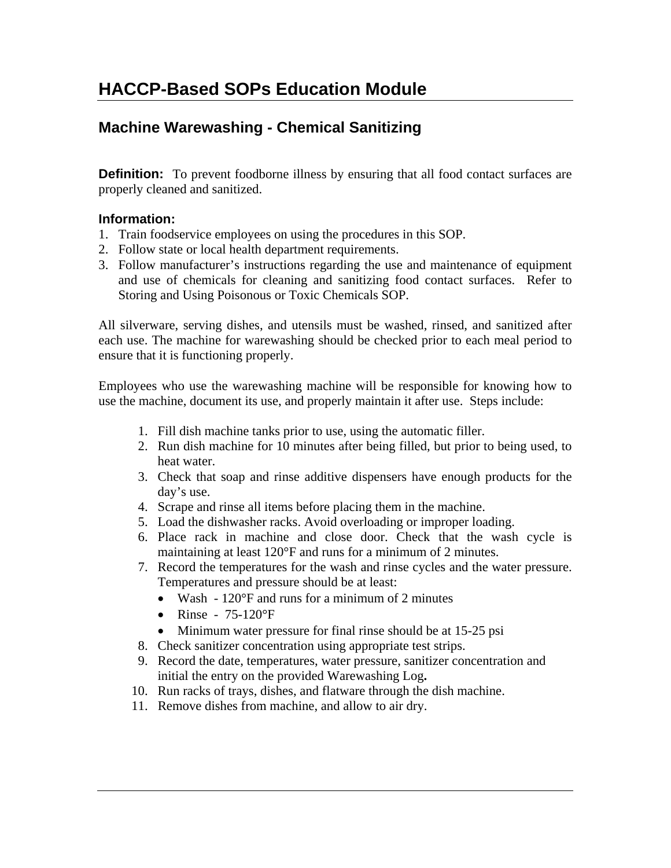## **Machine Warewashing - Chemical Sanitizing**

**Definition:** To prevent foodborne illness by ensuring that all food contact surfaces are properly cleaned and sanitized.

#### **Information:**

- 1. Train foodservice employees on using the procedures in this SOP.
- 2. Follow state or local health department requirements.
- 3. Follow manufacturer's instructions regarding the use and maintenance of equipment and use of chemicals for cleaning and sanitizing food contact surfaces. Refer to Storing and Using Poisonous or Toxic Chemicals SOP.

All silverware, serving dishes, and utensils must be washed, rinsed, and sanitized after each use. The machine for warewashing should be checked prior to each meal period to ensure that it is functioning properly.

Employees who use the warewashing machine will be responsible for knowing how to use the machine, document its use, and properly maintain it after use. Steps include:

- 1. Fill dish machine tanks prior to use, using the automatic filler.
- 2. Run dish machine for 10 minutes after being filled, but prior to being used, to heat water.
- 3. Check that soap and rinse additive dispensers have enough products for the day's use.
- 4. Scrape and rinse all items before placing them in the machine.
- 5. Load the dishwasher racks. Avoid overloading or improper loading.
- 6. Place rack in machine and close door. Check that the wash cycle is maintaining at least 120°F and runs for a minimum of 2 minutes.
- 7. Record the temperatures for the wash and rinse cycles and the water pressure. Temperatures and pressure should be at least:
	- Wash 120°F and runs for a minimum of 2 minutes
	- Rinse 75-120°F
	- Minimum water pressure for final rinse should be at 15-25 psi
- 8. Check sanitizer concentration using appropriate test strips.
- 9. Record the date, temperatures, water pressure, sanitizer concentration and initial the entry on the provided Warewashing Log**.**
- 10. Run racks of trays, dishes, and flatware through the dish machine.
- 11. Remove dishes from machine, and allow to air dry.